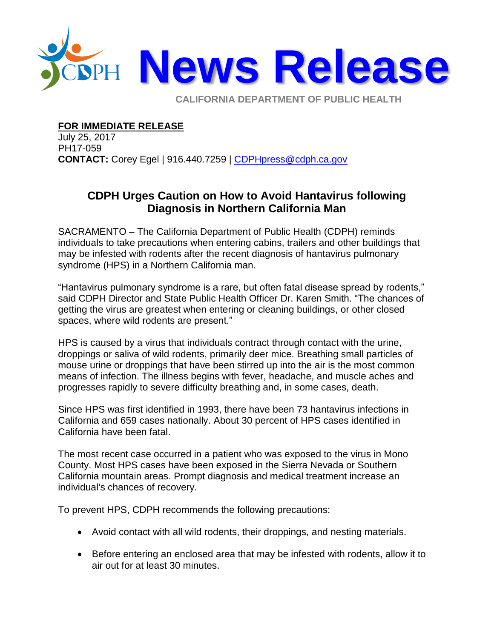

**CALIFORNIA DEPARTMENT OF PUBLIC HEALTH** 

## **FOR IMMEDIATE RELEASE**

July 25, 2017 PH17-059 **CONTACT:** Corey Egel | 916.440.7259 | [CDPHpress@cdph.ca.gov](mailto:CDPHpress@cdph.ca.gov)

## **CDPH Urges Caution on How to Avoid Hantavirus following Diagnosis in Northern California Man**

SACRAMENTO – The California Department of Public Health (CDPH) reminds individuals to take precautions when entering cabins, trailers and other buildings that may be infested with rodents after the recent diagnosis of hantavirus pulmonary syndrome (HPS) in a Northern California man.

"Hantavirus pulmonary syndrome is a rare, but often fatal disease spread by rodents," said CDPH Director and State Public Health Officer Dr. Karen Smith. "The chances of getting the virus are greatest when entering or cleaning buildings, or other closed spaces, where wild rodents are present."

HPS is caused by a virus that individuals contract through contact with the urine, droppings or saliva of wild rodents, primarily deer mice. Breathing small particles of mouse urine or droppings that have been stirred up into the air is the most common means of infection. The illness begins with fever, headache, and muscle aches and progresses rapidly to severe difficulty breathing and, in some cases, death.

Since HPS was first identified in 1993, there have been 73 hantavirus infections in California and 659 cases nationally. About 30 percent of HPS cases identified in California have been fatal.

The most recent case occurred in a patient who was exposed to the virus in Mono County. Most HPS cases have been exposed in the Sierra Nevada or Southern California mountain areas. Prompt diagnosis and medical treatment increase an individual's chances of recovery.

To prevent HPS, CDPH recommends the following precautions:

- Avoid contact with all wild rodents, their droppings, and nesting materials.
- Before entering an enclosed area that may be infested with rodents, allow it to air out for at least 30 minutes.